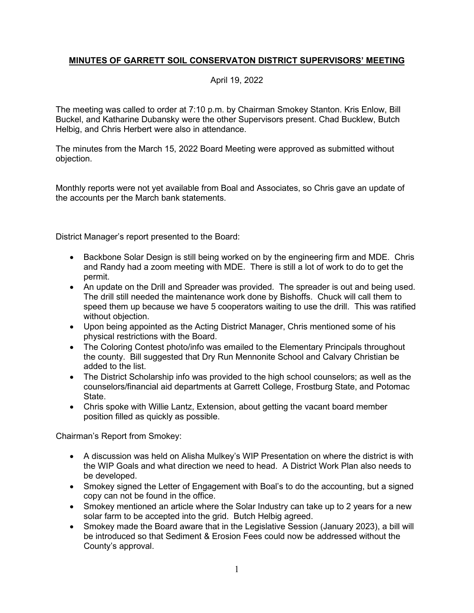## **MINUTES OF GARRETT SOIL CONSERVATON DISTRICT SUPERVISORS' MEETING**

## April 19, 2022

The meeting was called to order at 7:10 p.m. by Chairman Smokey Stanton. Kris Enlow, Bill Buckel, and Katharine Dubansky were the other Supervisors present. Chad Bucklew, Butch Helbig, and Chris Herbert were also in attendance.

The minutes from the March 15, 2022 Board Meeting were approved as submitted without objection.

Monthly reports were not yet available from Boal and Associates, so Chris gave an update of the accounts per the March bank statements.

District Manager's report presented to the Board:

- Backbone Solar Design is still being worked on by the engineering firm and MDE. Chris and Randy had a zoom meeting with MDE. There is still a lot of work to do to get the permit.
- An update on the Drill and Spreader was provided. The spreader is out and being used. The drill still needed the maintenance work done by Bishoffs. Chuck will call them to speed them up because we have 5 cooperators waiting to use the drill. This was ratified without objection.
- Upon being appointed as the Acting District Manager, Chris mentioned some of his physical restrictions with the Board.
- The Coloring Contest photo/info was emailed to the Elementary Principals throughout the county. Bill suggested that Dry Run Mennonite School and Calvary Christian be added to the list.
- The District Scholarship info was provided to the high school counselors; as well as the counselors/financial aid departments at Garrett College, Frostburg State, and Potomac State.
- Chris spoke with Willie Lantz, Extension, about getting the vacant board member position filled as quickly as possible.

Chairman's Report from Smokey:

- A discussion was held on Alisha Mulkey's WIP Presentation on where the district is with the WIP Goals and what direction we need to head. A District Work Plan also needs to be developed.
- Smokey signed the Letter of Engagement with Boal's to do the accounting, but a signed copy can not be found in the office.
- Smokey mentioned an article where the Solar Industry can take up to 2 years for a new solar farm to be accepted into the grid. Butch Helbig agreed.
- Smokey made the Board aware that in the Legislative Session (January 2023), a bill will be introduced so that Sediment & Erosion Fees could now be addressed without the County's approval.